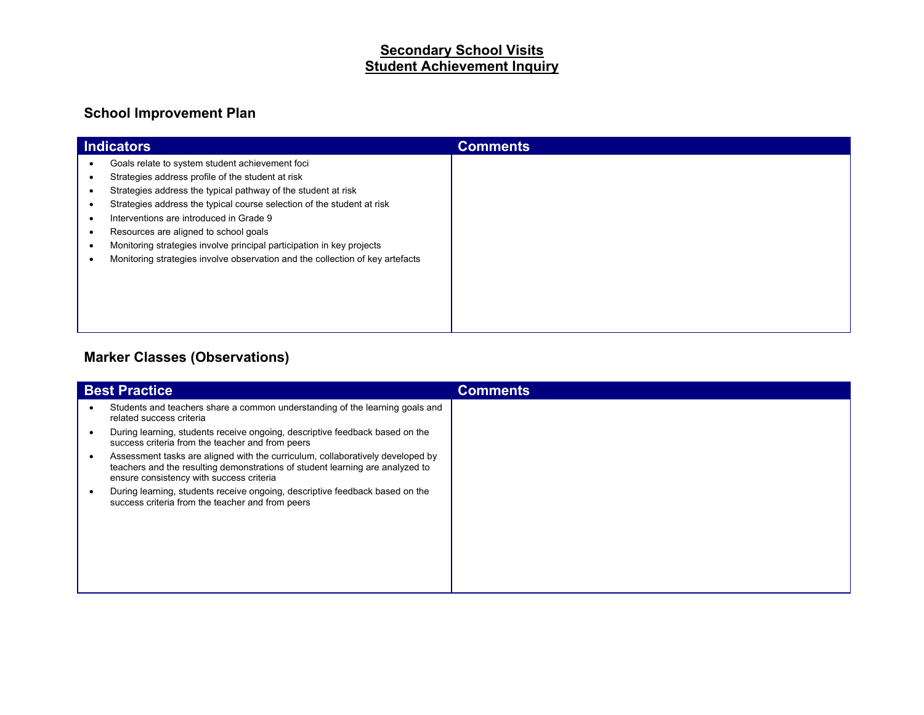# **Secondary School Visits Student Achievement Inquiry**

### **School Improvement Plan**

| <b>Indicators</b>                                                                                                                                                                                                                                                                          | <b>Comments</b> |
|--------------------------------------------------------------------------------------------------------------------------------------------------------------------------------------------------------------------------------------------------------------------------------------------|-----------------|
| Goals relate to system student achievement foci<br>Strategies address profile of the student at risk<br>Strategies address the typical pathway of the student at risk<br>Strategies address the typical course selection of the student at risk<br>Interventions are introduced in Grade 9 |                 |
| Resources are aligned to school goals<br>Monitoring strategies involve principal participation in key projects<br>Monitoring strategies involve observation and the collection of key artefacts                                                                                            |                 |

#### **Marker Classes (Observations)**

| <b>Best Practice</b> |                                                                                                                                                                                                             | <b>Comments</b> |
|----------------------|-------------------------------------------------------------------------------------------------------------------------------------------------------------------------------------------------------------|-----------------|
|                      | Students and teachers share a common understanding of the learning goals and<br>related success criteria                                                                                                    |                 |
|                      | During learning, students receive ongoing, descriptive feedback based on the<br>success criteria from the teacher and from peers                                                                            |                 |
|                      | Assessment tasks are aligned with the curriculum, collaboratively developed by<br>teachers and the resulting demonstrations of student learning are analyzed to<br>ensure consistency with success criteria |                 |
|                      | During learning, students receive ongoing, descriptive feedback based on the<br>success criteria from the teacher and from peers                                                                            |                 |